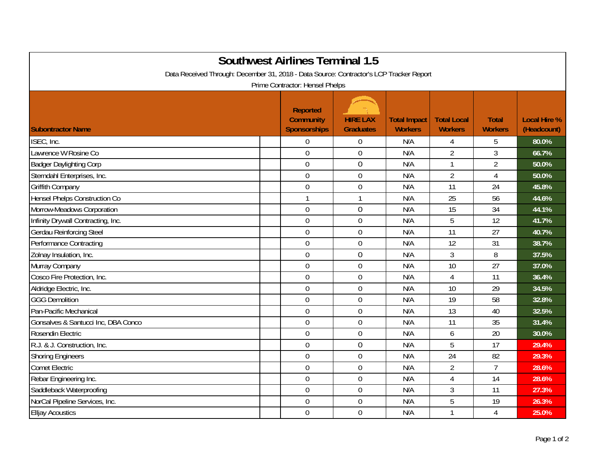| <b>Southwest Airlines Terminal 1.5</b><br>Data Received Through: December 31, 2018 - Data Source: Contractor's LCP Tracker Report<br>Prime Contractor: Hensel Phelps |                                                            |                                     |                                       |                                      |                                |                                    |  |  |  |  |  |
|----------------------------------------------------------------------------------------------------------------------------------------------------------------------|------------------------------------------------------------|-------------------------------------|---------------------------------------|--------------------------------------|--------------------------------|------------------------------------|--|--|--|--|--|
| <b>Subontractor Name</b>                                                                                                                                             | <b>Reported</b><br><b>Community</b><br><b>Sponsorships</b> | <b>HIRE LAX</b><br><b>Graduates</b> | <b>Total Impact</b><br><b>Workers</b> | <b>Total Local</b><br><b>Workers</b> | <b>Total</b><br><b>Workers</b> | <b>Local Hire %</b><br>(Headcount) |  |  |  |  |  |
| ISEC, Inc.                                                                                                                                                           | $\boldsymbol{0}$                                           | $\mathbf 0$                         | N/A                                   | 4                                    | 5                              | 80.0%                              |  |  |  |  |  |
| Lawrence W Rosine Co                                                                                                                                                 | $\mathbf 0$                                                | 0                                   | N/A                                   | $\overline{2}$                       | 3                              | 66.7%                              |  |  |  |  |  |
| <b>Badger Daylighting Corp</b>                                                                                                                                       | $\overline{0}$                                             | $\overline{0}$                      | N/A                                   | $\mathbf{1}$                         | $\overline{2}$                 | 50.0%                              |  |  |  |  |  |
| Sterndahl Enterprises, Inc.                                                                                                                                          | $\mathbf 0$                                                | $\mathbf 0$                         | N/A                                   | $\overline{2}$                       | 4                              | 50.0%                              |  |  |  |  |  |
| <b>Griffith Company</b>                                                                                                                                              | $\mathbf 0$                                                | $\mathbf 0$                         | N/A                                   | 11                                   | 24                             | 45.8%                              |  |  |  |  |  |
| Hensel Phelps Construction Co                                                                                                                                        | $\mathbf{1}$                                               | $\mathbf{1}$                        | N/A                                   | 25                                   | 56                             | 44.6%                              |  |  |  |  |  |
| Morrow-Meadows Corporation                                                                                                                                           | $\boldsymbol{0}$                                           | $\overline{0}$                      | N/A                                   | 15                                   | 34                             | 44.1%                              |  |  |  |  |  |
| Infinity Drywall Contracting, Inc.                                                                                                                                   | $\boldsymbol{0}$                                           | $\mathbf 0$                         | N/A                                   | 5                                    | 12                             | 41.7%                              |  |  |  |  |  |
| <b>Gerdau Reinforcing Steel</b>                                                                                                                                      | $\mathbf 0$                                                | $\mathbf 0$                         | N/A                                   | 11                                   | 27                             | 40.7%                              |  |  |  |  |  |
| Performance Contracting                                                                                                                                              | $\mathbf 0$                                                | $\mathbf 0$                         | N/A                                   | 12                                   | 31                             | 38.7%                              |  |  |  |  |  |
| Zolnay Insulation, Inc.                                                                                                                                              | $\mathbf 0$                                                | $\mathbf 0$                         | N/A                                   | 3                                    | 8                              | 37.5%                              |  |  |  |  |  |
| Murray Company                                                                                                                                                       | $\mathbf 0$                                                | $\mathbf 0$                         | N/A                                   | 10                                   | 27                             | 37.0%                              |  |  |  |  |  |
| Cosco Fire Protection, Inc.                                                                                                                                          | $\overline{0}$                                             | $\mathbf 0$                         | N/A                                   | $\overline{4}$                       | 11                             | 36.4%                              |  |  |  |  |  |
| Aldridge Electric, Inc.                                                                                                                                              | $\boldsymbol{0}$                                           | $\boldsymbol{0}$                    | N/A                                   | 10                                   | 29                             | 34.5%                              |  |  |  |  |  |
| <b>GGG Demolition</b>                                                                                                                                                | $\mathbf 0$                                                | $\mathbf 0$                         | N/A                                   | 19                                   | 58                             | 32.8%                              |  |  |  |  |  |
| Pan-Pacific Mechanical                                                                                                                                               | $\boldsymbol{0}$                                           | $\overline{0}$                      | N/A                                   | 13                                   | 40                             | 32.5%                              |  |  |  |  |  |
| Gonsalves & Santucci Inc, DBA Conco                                                                                                                                  | $\mathbf 0$                                                | $\mathbf 0$                         | N/A                                   | 11                                   | 35                             | 31.4%                              |  |  |  |  |  |
| Rosendin Electric                                                                                                                                                    | $\mathbf 0$                                                | $\mathbf 0$                         | N/A                                   | 6                                    | 20                             | 30.0%                              |  |  |  |  |  |
| R.J. & J. Construction, Inc.                                                                                                                                         | $\mathbf 0$                                                | $\mathbf 0$                         | N/A                                   | 5                                    | 17                             | 29.4%                              |  |  |  |  |  |
| <b>Shoring Engineers</b>                                                                                                                                             | $\theta$                                                   | $\mathbf 0$                         | N/A                                   | 24                                   | 82                             | 29.3%                              |  |  |  |  |  |
| <b>Comet Electric</b>                                                                                                                                                | $\boldsymbol{0}$                                           | $\boldsymbol{0}$                    | N/A                                   | $\overline{2}$                       | $\overline{7}$                 | 28.6%                              |  |  |  |  |  |
| Rebar Engineering Inc.                                                                                                                                               | $\mathbf 0$                                                | $\mathbf 0$                         | N/A                                   | 4                                    | 14                             | 28.6%                              |  |  |  |  |  |
| Saddleback Waterproofing                                                                                                                                             | $\boldsymbol{0}$                                           | $\mathbf 0$                         | N/A                                   | 3                                    | 11                             | 27.3%                              |  |  |  |  |  |
| NorCal Pipeline Services, Inc.                                                                                                                                       | $\mathbf 0$                                                | $\mathbf 0$                         | N/A                                   | 5                                    | 19                             | 26.3%                              |  |  |  |  |  |
| <b>Elljay Acoustics</b>                                                                                                                                              | $\mathbf 0$                                                | $\mathbf 0$                         | N/A                                   | $\mathbf{1}$                         | 4                              | 25.0%                              |  |  |  |  |  |